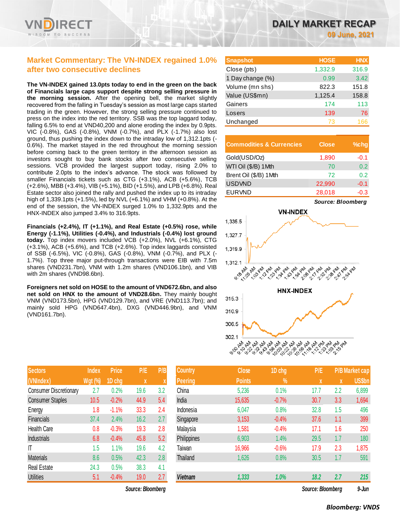

### **Market Commentary: The VN-INDEX regained 1.0% after two consecutive declines**

**The VN-INDEX gained 13.0pts today to end in the green on the back of Financials large caps support despite strong selling pressure in the morning session.** After the opening bell, the market slightly recovered from the falling in Tuesday's session as most large caps started trading in the green. However, the strong selling pressure continued to press on the index into the red territory. SSB was the top laggard today, falling 6.5% to end at VND40,200 and alone eroding the index by 0.9pts. VIC (-0.8%), GAS (-0.8%), VNM (-0.7%), and PLX (-1.7%) also lost ground, thus pushing the index down to the intraday low of 1,312.1pts (- 0.6%). The market stayed in the red throughout the morning session before coming back to the green territory in the afternoon session as investors sought to buy bank stocks after two consecutive selling sessions. VCB provided the largest support today, rising 2.0% to contribute 2.0pts to the index's advance. The stock was followed by smaller Financials tickets such as CTG (+3.1%), ACB (+5.6%), TCB (+2.6%), MBB (+3.4%), VIB (+5.1%), BID (+1.5%), and LPB (+6.8%). Real Estate sector also joined the rally and pushed the index up to its intraday high of 1,339.1pts (+1.5%), led by NVL (+6.1%) and VHM (+0.8%). At the end of the session, the VN-INDEX surged 1.0% to 1,332.9pts and the HNX-INDEX also jumped 3.4% to 316.9pts.

**Financials (+2.4%), IT (+1.1%), and Real Estate (+0.5%) rose, while Energy (-1.1%), Utilities (-0.4%), and Industrials (-0.4%) lost ground today.** Top index movers included VCB (+2.0%), NVL (+6.1%), CTG (+3.1%), ACB (+5.6%), and TCB (+2.6%). Top index laggards consisted of SSB (-6.5%), VIC (-0.8%), GAS (-0.8%), VNM (-0.7%), and PLX (- 1.7%). Top three major put-through transactions were EIB with 7.5m shares (VND231.7bn), VNM with 1.2m shares (VND106.1bn), and VIB with 2m shares (VND98.6bn).

**Foreigners net sold on HOSE to the amount of VND672.6bn, and also net sold on HNX to the amount of VND28.6bn.** They mainly bought VNM (VND173.5bn), HPG (VND129.7bn), and VRE (VND113.7bn); and mainly sold HPG (VND647.4bn), DXG (VND446.9bn), and VNM (VND161.7bn).

| <b>Sectors</b>                | <b>Index</b>   | <b>Price</b> | P/E  | P/B |
|-------------------------------|----------------|--------------|------|-----|
| (VNIndex)                     | <b>Wgt (%)</b> | 1D chg       | X    | X   |
| <b>Consumer Discretionary</b> | 2.7            | 0.2%         | 19.6 | 3.2 |
| <b>Consumer Staples</b>       | 10.5           | $-0.2%$      | 44.9 | 5.4 |
| Energy                        | 1.8            | $-1.1%$      | 33.3 | 2.4 |
| <b>Financials</b>             | 37.4           | 2.4%         | 16.2 | 2.7 |
| <b>Health Care</b>            | 0.8            | $-0.3%$      | 19.3 | 2.8 |
| <b>Industrials</b>            | 6.8            | $-0.4%$      | 45.8 | 5.2 |
| IT                            | 1.5            | 1.1%         | 19.6 | 4.2 |
| <b>Materials</b>              | 8.6            | 0.5%         | 42.3 | 2.8 |
| <b>Real Estate</b>            | 24.3           | 0.5%         | 38.3 | 4.1 |
| <b>Utilities</b>              | 5.1            | $-0.4%$      | 19.0 | 2.7 |

**09 June, 2021**

| <b>Snapshot</b>  | <b>HOSE</b> | <b>HNX</b> |
|------------------|-------------|------------|
| Close (pts)      | 1,332.9     | 316.9      |
| 1 Day change (%) | 0.99        | 3.42       |
| Volume (mn shs)  | 822.3       | 151.8      |
| Value (US\$mn)   | 1,125.4     | 158.8      |
| Gainers          | 174         | 113        |
| Losers           | 139         | 76         |
| Unchanged        | 73          | 166        |

| <b>Commodities &amp; Currencies</b> | <b>Close</b> | $%$ chg |
|-------------------------------------|--------------|---------|
| Gold(USD/Oz)                        | 1,890        | $-0.1$  |
| WTI Oil (\$/B) 1Mth                 | 70           | 0.2     |
| Brent Oil (\$/B) 1Mth               | 72           | 0.2     |
| <b>USDVND</b>                       | 22,990       | $-0.1$  |
| <b>EURVND</b>                       | 28,018       | $-0.3$  |



| <b>Sectors</b>                | <b>Index</b>   | <b>Price</b> | P/E               | P/B | <b>Country</b>  | Close         | 1D chg        | P/E               |     | <b>P/B Market cap</b> |
|-------------------------------|----------------|--------------|-------------------|-----|-----------------|---------------|---------------|-------------------|-----|-----------------------|
| (VNIndex)                     | <b>Wgt (%)</b> | 1D chg       | X                 | X   | <b>Peering</b>  | <b>Points</b> | $\frac{9}{6}$ | X                 | X   | <b>US\$bn</b>         |
| <b>Consumer Discretionary</b> | 2.7            | 0.2%         | 19.6              | 3.2 | China           | 5,236         | 0.1%          | 17.7              | 2.2 | 6,899                 |
| <b>Consumer Staples</b>       | 10.5           | $-0.2%$      | 44.9              | 5.4 | India           | 15,635        | $-0.7%$       | 30.7              | 3.3 | 1,694                 |
| Energy                        | 1.8            | $-1.1%$      | 33.3              | 2.4 | Indonesia       | 6,047         | 0.8%          | 32.8              | 1.5 | 496                   |
| Financials                    | 37.4           | 2.4%         | 16.2              | 2.7 | Singapore       | 3,153         | $-0.4%$       | 37.6              | 1.1 | 399                   |
| <b>Health Care</b>            | 0.8            | $-0.3%$      | 19.3              | 2.8 | Malaysia        | 1,581         | $-0.4%$       | 17.1              | 1.6 | 250                   |
| <b>Industrials</b>            | 6.8            | $-0.4%$      | 45.8              | 5.2 | Philippines     | 6,903         | 1.4%          | 29.5              | 1.7 | 180                   |
| T                             | 1.5            | 1.1%         | 19.6              | 4.2 | Taiwan          | 16,966        | $-0.6%$       | 17.9              | 2.3 | 1,875                 |
| <b>Materials</b>              | 8.6            | 0.5%         | 42.3              | 2.8 | <b>Thailand</b> | 1,626         | 0.8%          | 30.5              | 1.7 | 591                   |
| Real Estate                   | 24.3           | 0.5%         | 38.3              | 4.1 |                 |               |               |                   |     |                       |
| <b>Utilities</b>              | 5.1            | $-0.4%$      | 19.0              | 2.7 | <b>Vietnam</b>  | 1,333         | 1.0%          | 18.2              | 2.7 | 215                   |
|                               |                |              | Source: Bloombera |     |                 |               |               | Source: Bloomberg |     | $9 - Jun$             |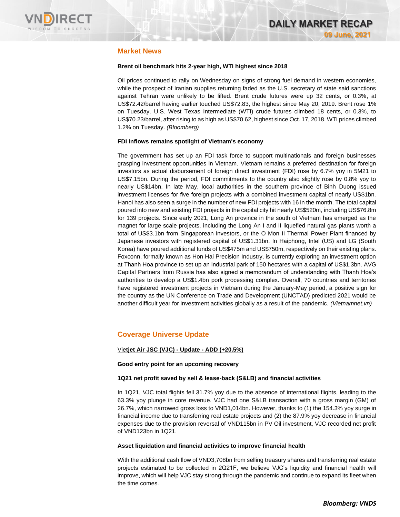

### **Market News**

### **Brent oil benchmark hits 2-year high, WTI highest since 2018**

Oil prices continued to rally on Wednesday on signs of strong fuel demand in western economies, while the prospect of Iranian supplies returning faded as the U.S. secretary of state said sanctions against Tehran were unlikely to be lifted. Brent crude futures were up 32 cents, or 0.3%, at US\$72.42/barrel having earlier touched US\$72.83, the highest since May 20, 2019. Brent rose 1% on Tuesday. U.S. West Texas Intermediate (WTI) crude futures climbed 18 cents, or 0.3%, to US\$70.23/barrel, after rising to as high as US\$70.62, highest since Oct. 17, 2018. WTI prices climbed 1.2% on Tuesday. *(Bloomberg)*

### **FDI inflows remains spotlight of Vietnam's economy**

The government has set up an FDI task force to support multinationals and foreign businesses grasping investment opportunities in Vietnam. Vietnam remains a preferred destination for foreign investors as actual disbursement of foreign direct investment (FDI) rose by 6.7% yoy in 5M21 to US\$7.15bn. During the period, FDI commitments to the country also slightly rose by 0.8% yoy to nearly US\$14bn. In late May, local authorities in the southern province of Binh Duong issued investment licenses for five foreign projects with a combined investment capital of nearly US\$1bn. Hanoi has also seen a surge in the number of new FDI projects with 16 in the month. The total capital poured into new and existing FDI projects in the capital city hit nearly US\$520m, including US\$76.8m for 139 projects. Since early 2021, Long An province in the south of Vietnam has emerged as the magnet for large scale projects, including the Long An I and II liquefied natural gas plants worth a total of US\$3.1bn from Singaporean investors, or the O Mon II Thermal Power Plant financed by Japanese investors with registered capital of US\$1.31bn. In Haiphong, Intel (US) and LG (South Korea) have poured additional funds of US\$475m and US\$750m, respectively on their existing plans. Foxconn, formally known as Hon Hai Precision Industry, is currently exploring an investment option at Thanh Hoa province to set up an industrial park of 150 hectares with a capital of US\$1.3bn. AVG Capital Partners from Russia has also signed a memorandum of understanding with Thanh Hoa's authorities to develop a US\$1.4bn pork processing complex. Overall, 70 countries and territories have registered investment projects in Vietnam during the January-May period, a positive sign for the country as the UN Conference on Trade and Development (UNCTAD) predicted 2021 would be another difficult year for investment activities globally as a result of the pandemic. *(Vietnamnet.vn)*

### **Coverage Universe Update**

### Vie**tjet Air JSC (VJC) - Update - ADD (+20.5%)**

**Good entry point for an upcoming recovery**

### **1Q21 net profit saved by sell & lease-back (S&LB) and financial activities**

In 1Q21, VJC total flights fell 31.7% yoy due to the absence of international flights, leading to the 63.3% yoy plunge in core revenue. VJC had one S&LB transaction with a gross margin (GM) of 26.7%, which narrowed gross loss to VND1,014bn. However, thanks to (1) the 154.3% yoy surge in financial income due to transferring real estate projects and (2) the 87.9% yoy decrease in financial expenses due to the provision reversal of VND115bn in PV Oil investment, VJC recorded net profit of VND123bn in 1Q21.

#### **Asset liquidation and financial activities to improve financial health**

With the additional cash flow of VND3,708bn from selling treasury shares and transferring real estate projects estimated to be collected in 2Q21F, we believe VJC's liquidity and financial health will improve, which will help VJC stay strong through the pandemic and continue to expand its fleet when the time comes.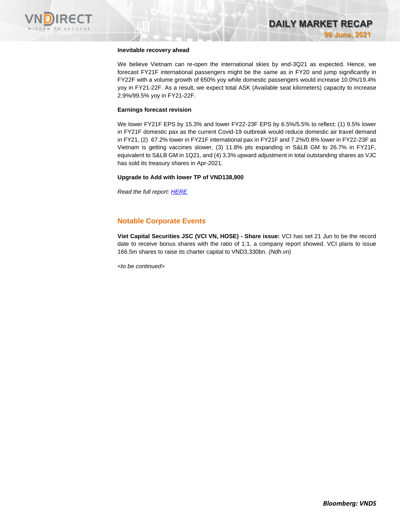

### **Inevitable recovery ahead**

We believe Vietnam can re-open the international skies by end-3Q21 as expected. Hence, we forecast FY21F international passengers might be the same as in FY20 and jump significantly in FY22F with a volume growth of 650% yoy while domestic passengers would increase 10.0%/19.4% yoy in FY21-22F. As a result, we expect total ASK (Available seat kilometers) capacity to increase 2.9%/99.5% yoy in FY21-22F.

#### **Earnings forecast revision**

We lower FY21F EPS by 15.3% and lower FY22-23F EPS by 6.5%/5.5% to reflect: (1) 9.5% lower in FY21F domestic pax as the current Covid-19 outbreak would reduce domestic air travel demand in FY21, (2) 67.2% lower in FY21F international pax in FY21F and 7.2%/0.8% lower in FY22-23F as Vietnam is getting vaccines slower, (3) 11.8% pts expanding in S&LB GM to 26.7% in FY21F, equivalent to S&LB GM in 1Q21, and (4) 3.3% upward adjustment in total outstanding shares as VJC has sold its treasury shares in Apr-2021.

#### **Upgrade to Add with lower TP of VND138,900**

*Read the full report[: HERE](https://nhanha-public-api.vndirect.com.vn/click/OGE0ODlmZDA3NTYyMzU3MDAxNzU2MmUzNWNiMzEyMTE=/MmNjNWY0ZjU3Zjg4NGZlYjk1OTc0MjNmMWIzN2MzOTE=/2cc5f4f57f884feb9597423f1b37c391-VJC_Update_20210904.pdf/cmVzZWFyY2hAdm5kaXJlY3QuY29tLnZu/MzE5NjM=)*

### **Notable Corporate Events**

**Viet Capital Securities JSC (VCI VN, HOSE) - Share issue:** VCI has set 21 Jun to be the record date to receive bonus shares with the ratio of 1:1, a company report showed. VCI plans to issue 166.5m shares to raise its charter capital to VND3,330bn. *(Ndh.vn)*

*<to be continued>*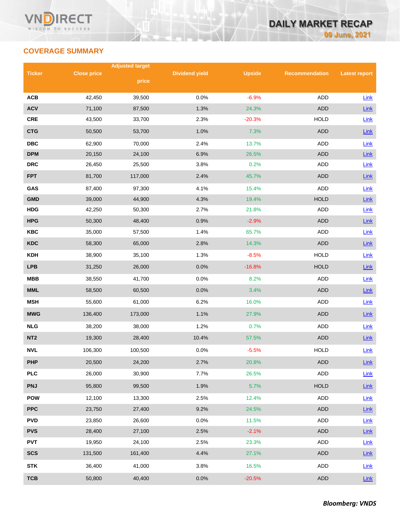# **COVERAGE SUMMARY**

|                 |                    | <b>Adjusted target</b> |                       |               |                       |                      |
|-----------------|--------------------|------------------------|-----------------------|---------------|-----------------------|----------------------|
| <b>Ticker</b>   | <b>Close price</b> | price                  | <b>Dividend yield</b> | <b>Upside</b> | <b>Recommendation</b> | <b>Latest report</b> |
|                 |                    |                        |                       |               |                       |                      |
| <b>ACB</b>      | 42,450             | 39,500                 | 0.0%                  | $-6.9%$       | <b>ADD</b>            | Link                 |
| <b>ACV</b>      | 71,100             | 87,500                 | 1.3%                  | 24.3%         | <b>ADD</b>            | $Link$               |
| <b>CRE</b>      | 43,500             | 33,700                 | 2.3%                  | $-20.3%$      | <b>HOLD</b>           | Link                 |
| <b>CTG</b>      | 50,500             | 53,700                 | 1.0%                  | 7.3%          | <b>ADD</b>            | Link                 |
| <b>DBC</b>      | 62,900             | 70,000                 | 2.4%                  | 13.7%         | ADD                   | Link                 |
| <b>DPM</b>      | 20,150             | 24,100                 | 6.9%                  | 26.5%         | <b>ADD</b>            | Link                 |
| <b>DRC</b>      | 26,450             | 25,500                 | 3.8%                  | 0.2%          | <b>ADD</b>            | Link                 |
| <b>FPT</b>      | 81,700             | 117,000                | 2.4%                  | 45.7%         | <b>ADD</b>            | Link                 |
| GAS             | 87,400             | 97,300                 | 4.1%                  | 15.4%         | <b>ADD</b>            | Link                 |
| <b>GMD</b>      | 39,000             | 44,900                 | 4.3%                  | 19.4%         | <b>HOLD</b>           | Link                 |
| <b>HDG</b>      | 42,250             | 50,300                 | 2.7%                  | 21.8%         | ADD                   | Link                 |
| <b>HPG</b>      | 50,300             | 48,400                 | 0.9%                  | $-2.9%$       | <b>ADD</b>            | Link                 |
| <b>KBC</b>      | 35,000             | 57,500                 | 1.4%                  | 65.7%         | ADD                   | Link                 |
| <b>KDC</b>      | 58,300             | 65,000                 | 2.8%                  | 14.3%         | <b>ADD</b>            | Link                 |
| <b>KDH</b>      | 38,900             | 35,100                 | 1.3%                  | $-8.5%$       | <b>HOLD</b>           | Link                 |
| <b>LPB</b>      | 31,250             | 26,000                 | 0.0%                  | $-16.8%$      | <b>HOLD</b>           | Link                 |
| <b>MBB</b>      | 38,550             | 41,700                 | 0.0%                  | 8.2%          | <b>ADD</b>            | Link                 |
| <b>MML</b>      | 58,500             | 60,500                 | 0.0%                  | 3.4%          | <b>ADD</b>            | Link                 |
| <b>MSH</b>      | 55,600             | 61,000                 | 6.2%                  | 16.0%         | ADD                   | Link                 |
| <b>MWG</b>      | 136,400            | 173,000                | 1.1%                  | 27.9%         | <b>ADD</b>            | Link                 |
| <b>NLG</b>      | 38,200             | 38,000                 | 1.2%                  | 0.7%          | ADD                   | Link                 |
| NT <sub>2</sub> | 19,300             | 28,400                 | 10.4%                 | 57.5%         | <b>ADD</b>            | Link                 |
| <b>NVL</b>      | 106,300            | 100,500                | 0.0%                  | $-5.5%$       | <b>HOLD</b>           | Link                 |
| <b>PHP</b>      | 20,500             | 24,200                 | 2.7%                  | 20.8%         | ADD                   | $Link$               |
| <b>PLC</b>      | 26,000             | 30,900                 | 7.7%                  | 26.5%         | ADD                   | Link                 |
| <b>PNJ</b>      | 95,800             | 99,500                 | 1.9%                  | 5.7%          | <b>HOLD</b>           | $Link$               |
| <b>POW</b>      | 12,100             | 13,300                 | 2.5%                  | 12.4%         | ADD                   | Link                 |
| <b>PPC</b>      | 23,750             | 27,400                 | 9.2%                  | 24.5%         | <b>ADD</b>            | $Link$               |
| <b>PVD</b>      | 23,850             | 26,600                 | 0.0%                  | 11.5%         | ADD                   | Link                 |
| <b>PVS</b>      | 28,400             | 27,100                 | 2.5%                  | $-2.1%$       | <b>ADD</b>            | $Link$               |
| <b>PVT</b>      | 19,950             | 24,100                 | 2.5%                  | 23.3%         | ADD                   | Link                 |
| <b>SCS</b>      | 131,500            | 161,400                | 4.4%                  | 27.1%         | ADD                   | $Link$               |
| <b>STK</b>      | 36,400             | 41,000                 | 3.8%                  | 16.5%         | ADD                   | Link                 |
| <b>TCB</b>      | 50,800             | 40,400                 | 0.0%                  | $-20.5%$      | <b>ADD</b>            | <b>Link</b>          |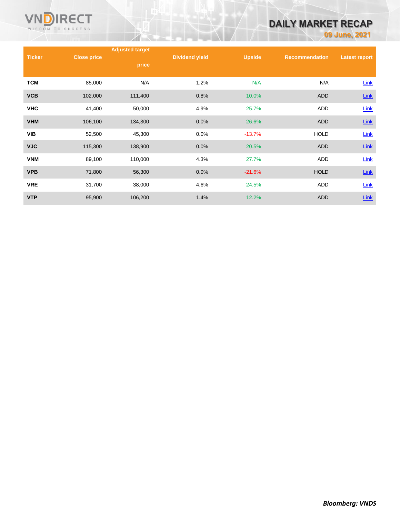

# **DAILY MARKET RECAP**

**09 June, 2021**

|               |                    | <b>Adjusted target</b> |                       |               |                       |                      |
|---------------|--------------------|------------------------|-----------------------|---------------|-----------------------|----------------------|
| <b>Ticker</b> | <b>Close price</b> |                        | <b>Dividend yield</b> | <b>Upside</b> | <b>Recommendation</b> | <b>Latest report</b> |
|               |                    | price                  |                       |               |                       |                      |
| <b>TCM</b>    | 85,000             | N/A                    | 1.2%                  | N/A           | N/A                   | <b>Link</b>          |
| <b>VCB</b>    | 102,000            | 111,400                | 0.8%                  | 10.0%         | ADD                   | $Link$               |
| <b>VHC</b>    | 41,400             | 50,000                 | 4.9%                  | 25.7%         | ADD                   | <b>Link</b>          |
| <b>VHM</b>    | 106,100            | 134,300                | 0.0%                  | 26.6%         | <b>ADD</b>            | $Link$               |
| <b>VIB</b>    | 52,500             | 45,300                 | 0.0%                  | $-13.7%$      | <b>HOLD</b>           | Link                 |
| <b>VJC</b>    | 115,300            | 138,900                | 0.0%                  | 20.5%         | ADD                   | $Link$               |
| <b>VNM</b>    | 89,100             | 110,000                | 4.3%                  | 27.7%         | <b>ADD</b>            | Link                 |
| <b>VPB</b>    | 71,800             | 56,300                 | 0.0%                  | $-21.6%$      | <b>HOLD</b>           | <b>Link</b>          |
| <b>VRE</b>    | 31,700             | 38,000                 | 4.6%                  | 24.5%         | ADD                   | Link                 |
| <b>VTP</b>    | 95,900             | 106,200                | 1.4%                  | 12.2%         | <b>ADD</b>            | Link                 |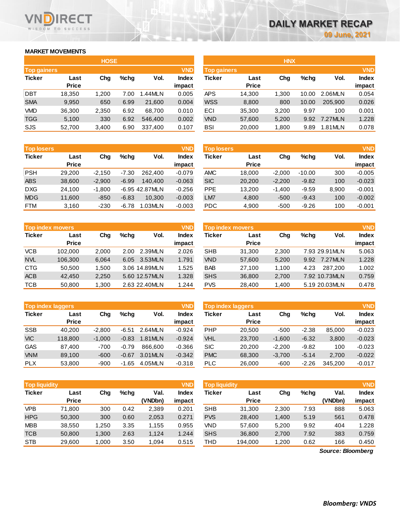### **MARKET MOVEMENTS**

WISDOM TO SUCCESS

**RECT** 

|                                  | <b>HOSE</b> |       |      |         |              |  |  |  |  |  |
|----------------------------------|-------------|-------|------|---------|--------------|--|--|--|--|--|
| <b>VND</b><br><b>Top gainers</b> |             |       |      |         |              |  |  |  |  |  |
| <b>Ticker</b>                    | Last        | Cha   | %chq | Vol.    | <b>Index</b> |  |  |  |  |  |
|                                  | Price       |       |      |         | impact       |  |  |  |  |  |
| DBT                              | 18,350      | 1,200 | 7.00 | 1.44MLN | 0.005        |  |  |  |  |  |
| <b>SMA</b>                       | 9.950       | 650   | 6.99 | 21,600  | 0.004        |  |  |  |  |  |
| VMD                              | 36,300      | 2,350 | 6.92 | 68,700  | 0.010        |  |  |  |  |  |
| <b>TGG</b>                       | 5,100       | 330   | 6.92 | 546,400 | 0.002        |  |  |  |  |  |
| SJS                              | 52,700      | 3,400 | 6.90 | 337,400 | 0.107        |  |  |  |  |  |

| <b>Top losers</b> |              |          |         |                | <b>VND</b>   |
|-------------------|--------------|----------|---------|----------------|--------------|
| <b>Ticker</b>     | Last         | Cha      | %chq    | Vol.           | <b>Index</b> |
|                   | <b>Price</b> |          |         |                | impact       |
| <b>PSH</b>        | 29,200       | $-2,150$ | $-7.30$ | 262,400        | $-0.079$     |
| <b>ABS</b>        | 38,600       | $-2,900$ | $-6.99$ | 140.400        | $-0.063$     |
| <b>DXG</b>        | 24,100       | $-1,800$ |         | -6.95 42.87MLN | $-0.256$     |
| <b>MDG</b>        | 11,600       | $-850$   | $-6.83$ | 10.300         | $-0.003$     |
| FTM               | 3,160        | $-230$   | -6.78   | 1.03MLN        | $-0.003$     |

| <b>Top index movers</b> |              |       |      |               |              |  |  |  |
|-------------------------|--------------|-------|------|---------------|--------------|--|--|--|
| <b>Ticker</b>           | Last         | Cha   | %chq | Vol.          | <b>Index</b> |  |  |  |
|                         | <b>Price</b> |       |      |               | impact       |  |  |  |
| <b>VCB</b>              | 102,000      | 2,000 | 2.00 | 2.39MLN       | 2.026        |  |  |  |
| <b>NVL</b>              | 106,300      | 6,064 | 6.05 | 3.53MLN       | 1.791        |  |  |  |
| <b>CTG</b>              | 50,500       | 1,500 |      | 3.06 14.89MLN | 1.525        |  |  |  |
| <b>ACB</b>              | 42,450       | 2,250 |      | 5.60 12.57MLN | 1.328        |  |  |  |
| <b>TCB</b>              | 50,800       | 1,300 |      | 2.63 22.40MLN | 1.244        |  |  |  |

| <b>Top index laggers</b> |              |          |         |         |              |  |  |
|--------------------------|--------------|----------|---------|---------|--------------|--|--|
| <b>Ticker</b>            | Last         | Cha      | %chq    | Vol.    | <b>Index</b> |  |  |
|                          | <b>Price</b> |          |         |         | impact       |  |  |
| <b>SSB</b>               | 40,200       | $-2,800$ | $-6.51$ | 2.64MLN | $-0.924$     |  |  |
| <b>VIC</b>               | 118,800      | $-1,000$ | $-0.83$ | 1.81MLN | $-0.924$     |  |  |
| GAS                      | 87,400       | $-700$   | $-0.79$ | 866.600 | $-0.366$     |  |  |
| <b>VNM</b>               | 89,100       | $-600$   | $-0.67$ | 3.01MLN | $-0.342$     |  |  |
| <b>PLX</b>               | 53,800       | $-900$   | -1.65   | 4.05MLN | $-0.318$     |  |  |

| <b>VND</b><br><b>Top liquidity</b> |              |       |         |         |              |  |  |  |
|------------------------------------|--------------|-------|---------|---------|--------------|--|--|--|
| <b>Ticker</b>                      | Last         | Cha   | $%$ chq | Val.    | <b>Index</b> |  |  |  |
|                                    | <b>Price</b> |       |         | (VNDbn) | impact       |  |  |  |
| <b>VPB</b>                         | 71,800       | 300   | 0.42    | 2,389   | 0.201        |  |  |  |
| <b>HPG</b>                         | 50,300       | 300   | 0.60    | 2,053   | 0.271        |  |  |  |
| <b>MBB</b>                         | 38,550       | 1,250 | 3.35    | 1,155   | 0.955        |  |  |  |
| <b>TCB</b>                         | 50,800       | 1,300 | 2.63    | 1,124   | 1.244        |  |  |  |
| <b>STB</b>                         | 29,600       | 1,000 | 3.50    | 1,094   | 0.515        |  |  |  |

|                    |              | <b>HOSE</b> |      |         |              |             |              | <b>HNX</b> |       |         |              |
|--------------------|--------------|-------------|------|---------|--------------|-------------|--------------|------------|-------|---------|--------------|
| <b>Top gainers</b> |              |             |      |         | <b>VND</b>   | Top gainers |              |            |       |         | <b>VND</b>   |
| Ticker             | Last         | Chg         | %chq | Vol.    | <b>Index</b> | Ticker      | Last         | Chg        | %chq  | Vol.    | <b>Index</b> |
|                    | <b>Price</b> |             |      |         | impact       |             | <b>Price</b> |            |       |         | impact       |
| DBT                | 18,350       | 1,200       | 7.00 | .44MLN  | 0.005        | <b>APS</b>  | 14.300       | 1.300      | 10.00 | 2.06MLN | 0.054        |
| <b>SMA</b>         | 9,950        | 650         | 6.99 | 21,600  | 0.004        | <b>WSS</b>  | 8,800        | 800        | 10.00 | 205.900 | 0.026        |
| VMD                | 36,300       | 2.350       | 6.92 | 68.700  | 0.010        | ECI         | 35,300       | 3,200      | 9.97  | 100     | 0.001        |
| <b>TGG</b>         | 5,100        | 330         | 6.92 | 546,400 | 0.002        | <b>VND</b>  | 57,600       | 5,200      | 9.92  | 7.27MLN | 1.228        |
| SJS                | 52,700       | 3,400       | 6.90 | 337,400 | 0.107        | <b>BSI</b>  | 20,000       | 1,800      | 9.89  | 1.81MLN | 0.078        |
|                    |              |             |      |         |              |             |              |            |       |         |              |

| <b>Top losers</b> |              |          |         |                | <b>VND</b> | <b>Top losers</b> |              |          |          |       | <b>VND</b>   |
|-------------------|--------------|----------|---------|----------------|------------|-------------------|--------------|----------|----------|-------|--------------|
| Ticker            | Last         | Chg      | $%$ chq | Vol.           | Index      | Ticker            | Last         | Chg      | $%$ chq  | Vol.  | <b>Index</b> |
|                   | <b>Price</b> |          |         |                | impact     |                   | <b>Price</b> |          |          |       | impact       |
| PSH               | 29.200       | $-2.150$ | $-7.30$ | 262,400        | $-0.079$   | <b>AMC</b>        | 18.000       | $-2.000$ | $-10.00$ | 300   | $-0.005$     |
| <b>ABS</b>        | 38,600       | $-2.900$ | $-6.99$ | 140.400        | $-0.063$   | <b>SIC</b>        | 20,200       | $-2,200$ | $-9.82$  | 100   | $-0.023$     |
| DXG               | 24.100       | $-1.800$ |         | -6.95 42.87MLN | $-0.256$   | <b>PPE</b>        | 13,200       | $-1.400$ | $-9.59$  | 8.900 | $-0.001$     |
| <b>MDG</b>        | 11,600       | $-850$   | $-6.83$ | 10.300         | $-0.003$   | LM7               | 4,800        | $-500$   | $-9.43$  | 100   | $-0.002$     |
| FTM               | 3,160        | $-230$   | $-6.78$ | 1.03MLN        | $-0.003$   | <b>PDC</b>        | 4,900        | $-500$   | $-9.26$  | 100   | $-0.001$     |
|                   |              |          |         |                |            |                   |              |          |          |       |              |

|            | Top index movers |       |         |               | <b>VND</b>   | Top index movers |              |       |         |                |              |
|------------|------------------|-------|---------|---------------|--------------|------------------|--------------|-------|---------|----------------|--------------|
| Ticker     | Last             | Chg   | $%$ chq | Vol.          | <b>Index</b> | Ticker           | Last         | Chg   | $%$ chq | Vol.           | <b>Index</b> |
|            | <b>Price</b>     |       |         |               | impact       |                  | <b>Price</b> |       |         |                | impact       |
| VCB        | 102.000          | 2.000 | 2.00    | 2.39MLN       | 2.026        | <b>SHB</b>       | 31,300       | 2.300 |         | 7.93 29.91 MLN | 5.063        |
| <b>NVL</b> | 106,300          | 6,064 |         | 6.05 3.53MLN  | 1.791        | <b>VND</b>       | 57,600       | 5,200 | 9.92    | 7.27MLN        | 1.228        |
| CTG        | 50.500           | 1.500 |         | 3.06 14.89MLN | 1.525        | <b>BAB</b>       | 27.100       | 1.100 | 4.23    | 287.200        | 1.002        |
| <b>ACB</b> | 42.450           | 2,250 |         | 5.60 12.57MLN | 1.328        | <b>SHS</b>       | 36,800       | 2,700 |         | 7.92 10.73MLN  | 0.759        |
| тсв        | 50,800           | 1,300 |         | 2.63 22.40MLN | 1.244        | <b>PVS</b>       | 28,400       | 1,400 |         | 5.19 20.03MLN  | 0.478        |

|            | <b>VND</b><br><b>Top index laggers</b> |          |         |         |              |            | <b>Top index laggers</b> |          |         |         |              |  |
|------------|----------------------------------------|----------|---------|---------|--------------|------------|--------------------------|----------|---------|---------|--------------|--|
| Ticker     | Last                                   | Chg      | %chq    | Vol.    | <b>Index</b> | Ticker     | Last                     | Chg      | $%$ chq | Vol.    | <b>Index</b> |  |
|            | <b>Price</b>                           |          |         |         | impact       |            | <b>Price</b>             |          |         |         | impact       |  |
| SSB        | 40.200                                 | $-2.800$ | $-6.51$ | 2.64MLN | $-0.924$     | <b>PHP</b> | 20.500                   | $-500$   | $-2.38$ | 85.000  | $-0.023$     |  |
| <b>VIC</b> | 118,800                                | $-1.000$ | $-0.83$ | 1.81MLN | $-0.924$     | <b>VHL</b> | 23,700                   | $-1.600$ | $-6.32$ | 3,800   | $-0.023$     |  |
| GAS        | 87.400                                 | -700     | $-0.79$ | 866,600 | $-0.366$     | <b>SIC</b> | 20,200                   | $-2.200$ | $-9.82$ | 100     | $-0.023$     |  |
| <b>VNM</b> | 89.100                                 | $-600$   | $-0.67$ | 3.01MLN | $-0.342$     | <b>PMC</b> | 68,300                   | $-3,700$ | $-5.14$ | 2.700   | $-0.022$     |  |
| <b>PLX</b> | 53,800                                 | -900     | $-1.65$ | 4.05MLN | $-0.318$     | PLC        | 26,000                   | -600     | $-2.26$ | 345.200 | $-0.017$     |  |

| <b>Top liquidity</b> |              |       |         |         | VND    | <b>Top liquidity</b> |              |        |      |         | <b>VND</b>   |
|----------------------|--------------|-------|---------|---------|--------|----------------------|--------------|--------|------|---------|--------------|
| Ticker               | Last         | Chg   | $%$ chq | Val.    | Index  | Ticker               | Last         | Chg    | %chq | Val.    | <b>Index</b> |
|                      | <b>Price</b> |       |         | (VNDbn) | impact |                      | <b>Price</b> |        |      | (VNDbn) | impact       |
| VPB                  | 71.800       | 300   | 0.42    | 2.389   | 0.201  | <b>SHB</b>           | 31.300       | 2,300  | 7.93 | 888     | 5.063        |
| <b>HPG</b>           | 50,300       | 300   | 0.60    | 2,053   | 0.271  | <b>PVS</b>           | 28,400       | 1,400  | 5.19 | 561     | 0.478        |
| <b>MBB</b>           | 38,550       | 1.250 | 3.35    | .155    | 0.955  | VND                  | 57,600       | 5,200  | 9.92 | 404     | 1.228        |
| TCB                  | 50,800       | 1.300 | 2.63    | 1.124   | 1.244  | <b>SHS</b>           | 36,800       | 2,700  | 7.92 | 383     | 0.759        |
| <b>STB</b>           | 29,600       | 1,000 | 3.50    | 0.94    | 0.515  | THD                  | 194,000      | 200. ا | 0.62 | 166     | 0.450        |

*Source: Bloomberg*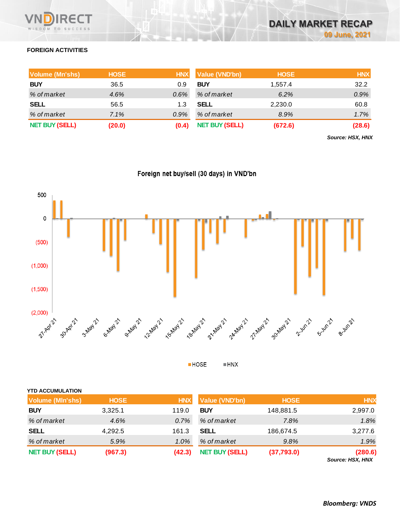

## **FOREIGN ACTIVITIES**

| <b>Volume (Mn'shs)</b> | <b>HOSE</b> |         | HNX Value (VND'bn)    | <b>HOSE</b> | <b>HNX</b> |
|------------------------|-------------|---------|-----------------------|-------------|------------|
| <b>BUY</b>             | 36.5        | 0.9     | <b>BUY</b>            | 1,557.4     | 32.2       |
| % of market            | 4.6%        | $0.6\%$ | % of market           | 6.2%        | 0.9%       |
| <b>SELL</b>            | 56.5        | 1.3     | SELL                  | 2,230.0     | 60.8       |
| % of market            | 7.1%        | $0.9\%$ | % of market           | 8.9%        | 1.7%       |
| <b>NET BUY (SELL)</b>  | (20.0)      | (0.4)   | <b>NET BUY (SELL)</b> | (672.6)     | (28.6)     |

*Source: HSX, HNX*





 $\blacksquare$  <br> HNX **HOSE** 

| <b>YTD ACCUMULATION</b> |             |            |                       |             |                             |
|-------------------------|-------------|------------|-----------------------|-------------|-----------------------------|
| <b>Volume (MIn'shs)</b> | <b>HOSE</b> | <b>HNX</b> | Value (VND'bn)        | <b>HOSE</b> | <b>HNX</b>                  |
| <b>BUY</b>              | 3,325.1     | 119.0      | <b>BUY</b>            | 148,881.5   | 2,997.0                     |
| % of market             | 4.6%        | 0.7%       | % of market           | 7.8%        | 1.8%                        |
| <b>SELL</b>             | 4,292.5     | 161.3      | <b>SELL</b>           | 186,674.5   | 3,277.6                     |
| % of market             | 5.9%        | $1.0\%$    | % of market           | 9.8%        | 1.9%                        |
| <b>NET BUY (SELL)</b>   | (967.3)     | (42.3)     | <b>NET BUY (SELL)</b> | (37,793.0)  | (280.6)<br>Source: HSX, HNX |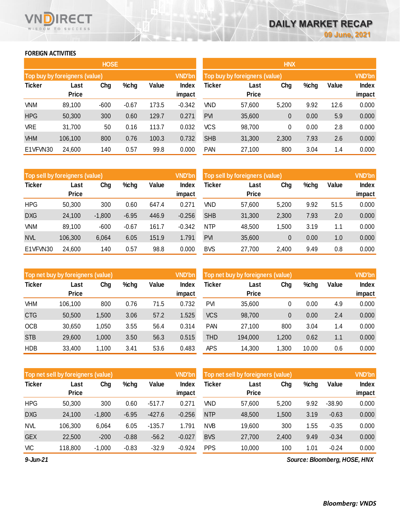### **FOREIGN ACTIVITIES**

WISDOM TO SUCCESS

RECT

|               |                               | <b>HOSE</b> |         |       |                 | <b>HNX</b> |                               |       |      |       |                 |  |
|---------------|-------------------------------|-------------|---------|-------|-----------------|------------|-------------------------------|-------|------|-------|-----------------|--|
|               | Top buy by foreigners (value) |             |         |       | <b>VND'bn</b>   |            | Top buy by foreigners (value) |       |      |       | <b>VND'bn</b>   |  |
| <b>Ticker</b> | Last<br><b>Price</b>          | Chg         | $%$ chg | Value | Index<br>impact | Ticker     | Last<br><b>Price</b>          | Chg   | %chg | Value | Index<br>impact |  |
| <b>VNM</b>    | 89,100                        | $-600$      | $-0.67$ | 173.5 | $-0.342$        | <b>VND</b> | 57,600                        | 5,200 | 9.92 | 12.6  | 0.000           |  |
| <b>HPG</b>    | 50,300                        | 300         | 0.60    | 129.7 | 0.271           | <b>PVI</b> | 35,600                        | 0     | 0.00 | 5.9   | 0.000           |  |
| <b>VRE</b>    | 31,700                        | 50          | 0.16    | 113.7 | 0.032           | VCS        | 98,700                        | 0     | 0.00 | 2.8   | 0.000           |  |
| <b>VHM</b>    | 106,100                       | 800         | 0.76    | 100.3 | 0.732           | <b>SHB</b> | 31,300                        | 2,300 | 7.93 | 2.6   | 0.000           |  |
| E1VFVN30      | 24,600                        | 140         | 0.57    | 99.8  | 0.000           | <b>PAN</b> | 27,100                        | 800   | 3.04 | 1.4   | 0.000           |  |

| Top sell by foreigners (value) |              |          |         |       | <b>VND'bn</b> | Top sell by foreigners (value), |              | <b>VND'bn</b> |      |       |        |
|--------------------------------|--------------|----------|---------|-------|---------------|---------------------------------|--------------|---------------|------|-------|--------|
| <b>Ticker</b>                  | Last         | Chg      | %chg    | Value | Index         | Ticker                          | Last         | Chg           | %chg | Value | Index  |
|                                | <b>Price</b> |          |         |       | impact        |                                 | <b>Price</b> |               |      |       | impact |
| <b>HPG</b>                     | 50,300       | 300      | 0.60    | 647.4 | 0.271         | VND                             | 57,600       | 5,200         | 9.92 | 51.5  | 0.000  |
| <b>DXG</b>                     | 24,100       | $-1,800$ | $-6.95$ | 446.9 | $-0.256$      | <b>SHB</b>                      | 31,300       | 2,300         | 7.93 | 2.0   | 0.000  |
| <b>VNM</b>                     | 89,100       | $-600$   | $-0.67$ | 161.7 | $-0.342$      | <b>NTP</b>                      | 48,500       | 1,500         | 3.19 | 1.1   | 0.000  |
| <b>NVL</b>                     | 106,300      | 6,064    | 6.05    | 151.9 | 1.791         | <b>PVI</b>                      | 35,600       | $\theta$      | 0.00 | 1.0   | 0.000  |
| E1VFVN30                       | 24,600       | 140      | 0.57    | 98.8  | 0.000         | <b>BVS</b>                      | 27,700       | 2,400         | 9.49 | 0.8   | 0.000  |

|               | Top net buy by foreigners (value) |       |      |       | <b>VND'bn</b>   | Top net buy by foreigners (value) | <b>VND'bn</b>        |        |         |       |                 |
|---------------|-----------------------------------|-------|------|-------|-----------------|-----------------------------------|----------------------|--------|---------|-------|-----------------|
| <b>Ticker</b> | Last<br><b>Price</b>              | Chg   | %chg | Value | Index<br>impact | Ticker                            | Last<br><b>Price</b> | Chg    | $%$ chg | Value | Index<br>impact |
| VHM           | 106,100                           | 800   | 0.76 | 71.5  | 0.732           | <b>PVI</b>                        | 35,600               | 0      | 0.00    | 4.9   | 0.000           |
| <b>CTG</b>    | 50,500                            | 1,500 | 3.06 | 57.2  | 1.525           | <b>VCS</b>                        | 98,700               | 0      | 0.00    | 2.4   | 0.000           |
| <b>OCB</b>    | 30,650                            | 1,050 | 3.55 | 56.4  | 0.314           | <b>PAN</b>                        | 27,100               | 800    | 3.04    | 1.4   | 0.000           |
| <b>STB</b>    | 29,600                            | 1,000 | 3.50 | 56.3  | 0.515           | <b>THD</b>                        | 194,000              | 1,200  | 0.62    | 1.1   | 0.000           |
| <b>HDB</b>    | 33,400                            | 1,100 | 3.41 | 53.6  | 0.483           | APS                               | 14,300               | 300. ا | 10.00   | 0.6   | 0.000           |

|               | <b>VND'bn</b><br>Top net sell by foreigners (value) |          |         |          |                 | Top net sell by foreigners (value), | <b>VND'bn</b>        |       |      |          |                 |
|---------------|-----------------------------------------------------|----------|---------|----------|-----------------|-------------------------------------|----------------------|-------|------|----------|-----------------|
| <b>Ticker</b> | Last<br><b>Price</b>                                | Chg      | %chg    | Value    | Index<br>impact | Ticker                              | Last<br><b>Price</b> | Chg   | %chg | Value    | Index<br>impact |
| <b>HPG</b>    | 50,300                                              | 300      | 0.60    | $-517.7$ | 0.271           | VND                                 | 57,600               | 5,200 | 9.92 | $-38.90$ | 0.000           |
| <b>DXG</b>    | 24,100                                              | $-1,800$ | $-6.95$ | $-427.6$ | $-0.256$        | <b>NTP</b>                          | 48,500               | 1,500 | 3.19 | $-0.63$  | 0.000           |
| <b>NVL</b>    | 106,300                                             | 6,064    | 6.05    | $-135.7$ | 1.791           | <b>NVB</b>                          | 19,600               | 300   | 1.55 | $-0.35$  | 0.000           |
| <b>GEX</b>    | 22,500                                              | $-200$   | $-0.88$ | $-56.2$  | $-0.027$        | <b>BVS</b>                          | 27,700               | 2,400 | 9.49 | $-0.34$  | 0.000           |
| VIC           | 118,800                                             | $-1,000$ | $-0.83$ | $-32.9$  | $-0.924$        | <b>PPS</b>                          | 10,000               | 100   | 1.01 | $-0.24$  | 0.000           |
|               |                                                     |          |         |          |                 |                                     |                      |       |      |          |                 |

*9-Jun-21*

*Source: Bloomberg, HOSE, HNX*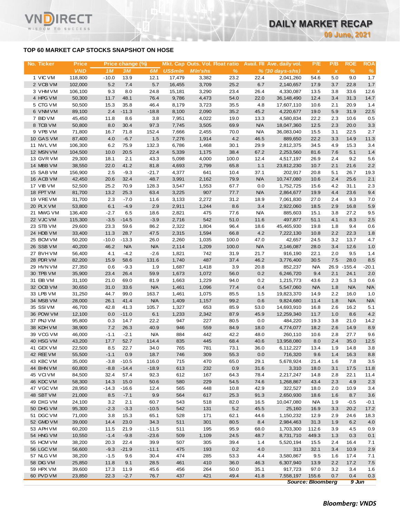### **TOP 60 MARKET CAP STOCKS SNAPSHOT ON HOSE**

T.

WISDOM TO SUCCESS

| No. Ticker             | <b>Price</b><br><b>VND</b> |                           | Price change (%) |                 | <b>US\$mln</b> | Mkt. Cap Outs. Vol. Float ratio |              |              | Avail. Fil Ave. daily vol.               | P/E                               | P/B                 | <b>ROE</b>   | <b>ROA</b>  |
|------------------------|----------------------------|---------------------------|------------------|-----------------|----------------|---------------------------------|--------------|--------------|------------------------------------------|-----------------------------------|---------------------|--------------|-------------|
| 1 VIC VM               | 118,800                    | 1 <sub>M</sub><br>$-10.0$ | 3M<br>13.9       | 6M<br>12.1      | 17,479         | <b>MIn'shs</b><br>3,382         | $\%$<br>23.2 | 22.4         | $% (30 \, \text{days-shs})$<br>2,041,260 | $\boldsymbol{\mathsf{X}}$<br>54.6 | $\pmb{\chi}$<br>5.0 | $\%$<br>9.0  | $\%$<br>1.7 |
| 2 VCB VM               | 102,000                    | 5.2                       | 7.4              | 5.7             | 16,455         | 3,709                           | 25.2         | 6.7          | 2,140,657                                | 17.9                              | 3.7                 | 22.8         | $1.7$       |
| 3 VHM VM               | 106,100                    | 9.3                       | 8.0              | 24.8            | 15,181         | 3,290                           | 23.4         | 26.4         | 4,330,087                                | 13.5                              | 3.8                 | 33.6         | 12.6        |
| 4 HPG VM               | 50,300                     | 11.7                      | 48.1             | 76.4            | 9,786          | 4,473                           | 54.0         | 22.0         | 36,148,490                               | 12.4                              | 3.4                 | 31.3         | 14.7        |
| 5 CTG VM               | 50,500                     | 15.3                      | 35.8             | 46.4            | 8,179          | 3,723                           | 35.5         | 4.8          | 17,607,110                               | 10.6                              | 2.1                 | 20.9         | 1.4         |
| 6 VNMVM                | 89,100                     | 2.4                       | $-11.3$          | $-18.8$         | 8,100          | 2,090                           | 35.2         | 45.2         | 4,220,677                                | 19.0                              | 5.9                 | 31.9         | 22.5        |
| 7 BID VM               | 45,450                     | 11.8                      | 8.6              | 3.8             | 7,951          | 4,022                           | 19.0         | 13.3         | 4,580,834                                | 22.2                              | 2.3                 | 10.6         | 0.5         |
| 8 TCB VM               | 50,800                     | 8.0                       | 30.4             | 97.3            | 7,745          | 3,505                           | 69.9         | <b>N/A</b>   | 18,047,360                               | 12.5                              | 2.3                 | 20.0         | 3.3         |
| 9 VPB VM               | 71,800                     | 16.7                      | 71.8             | 152.4           | 7,666          | 2,455                           | 70.0         | <b>N/A</b>   | 36,083,040                               | 15.5                              | 3.1                 | 22.5         | 2.7         |
| 10 GAS VM              | 87,400                     | 4.0                       | $-6.7$           | 1.5             | 7,276          | 1,914                           | 4.2          | 46.5         | 889,650                                  | 22.2                              | 3.3                 | 14.9         | 11.3        |
| 11 NVL VM              | 106,300                    | 6.2                       | 75.9             | 132.3           | 6,786          | 1,468                           | 30.1         | 29.9         | 2,812,375                                | 34.5                              | 4.9                 | 15.3         | 3.4         |
| 12 MSN VM              | 104,500                    | 10.0                      | 20.5             | 22.4            | 5,339          | 1,175                           | 38.4         | 67.2         | 2,253,560                                | 81.6                              | 7.6                 | 5.1          | 1.4         |
| 13 GVR VM              | 29,300                     | 18.1                      | 2.1              | 43.3            | 5,098          | 4,000                           | 100.0        | 12.4         | 4,517,197                                | 26.9                              | 2.4                 | 9.2          | 5.6         |
| 14 MBB VM              | 38,550                     | 22.0                      | 41.2             | 81.8            | 4,693          | 2,799                           | 65.8         | 1.1          | 23,812,230                               | 10.7                              | 2.1                 | 21.6         | 2.2         |
| 15 SAB VM              | 156,900                    | 2.5                       | $-9.3$           | $-21.7$         | 4,377          | 641                             | 10.4         | 37.1         | 202,917                                  | 20.8                              | 5.1                 | 26.7         | 19.3        |
| 16 ACB VM              | 42,450                     | 20.6                      | 32.4             | 48.7            | 3,991          | 2,162                           | 79.9         | <b>N/A</b>   | 10,747,080                               | 10.6                              | 2.4                 | 25.6         | 2.1         |
| 17 VIB VM              | 52,500                     | 25.2                      | 70.9             | 128.3           | 3,547          | 1,553                           | 67.7         | 0.0          | 1,752,725                                | 15.6                              | 4.2                 | 31.1         | 2.3         |
| 18 FPT VM              | 81,700                     | 13.2                      | 25.3             | 63.4            | 3,225          | 907                             | 77.7         | <b>N/A</b>   | 2,864,677                                | 19.9                              | 4.4                 | 23.6         | 9.4         |
| 19 VREVM               | 31,700                     | 2.3                       | $-7.0$           | 11.6            | 3,133          | 2,272                           | 31.2         | 18.9         | 7,061,830                                | 27.0                              | 2.4                 | 9.3          | 7.0         |
| 20 PLX VM              | 53,800                     | 6.1                       | $-4.9$           | 2.9             | 2,911          | 1,244                           | 8.6          | 3.4          | 2,922,060                                | 18.5                              | 2.9                 | 16.8         | 5.9         |
| 21 MWG VM<br>22 VJC VM | 136,400                    | $-2.7$                    | 6.5              | 18.6            | 2,821          | 475                             | 77.6         | <b>N/A</b>   | 885,603                                  | 15.1                              | 3.8                 | 27.2         | 9.5         |
|                        | 115,300                    | $-3.5$                    | $-14.5$          | $-3.9$          | 2,716          | 542                             | 51.0         | 11.6         | 497,877                                  | 51.1                              | 4.1                 | 8.3<br>9.4   | 2.5         |
| 23 STB VM<br>24 HDB VM | 29,600<br>33,400           | 23.3<br>11.3              | 59.6<br>28.7     | 86.2<br>47.5    | 2,322<br>2,315 | 1,804<br>1,594                  | 96.4<br>66.8 | 18.6<br>4.2  | 45,465,930<br>7,222,130                  | 19.8<br>10.8                      | 1.8<br>2.2          | 22.3         | 0.6<br>1.8  |
| 25 BCM VM              | 50,200                     | $-10.0$                   | $-13.3$          | 26.0            | 2,260          | 1,035                           | 100.0        | 47.0         | 42,657                                   | 24.5                              | 3.2                 | 13.7         | 4.7         |
| 26 SSB VM              | 40,200                     | 46.2                      | <b>N/A</b>       | <b>N/A</b>      | 2,114          | 1,209                           | 100.0        | <b>N/A</b>   | 2,146,087                                | 28.0                              | 3.4                 | 12.6         | 1.0         |
| 27 BVHVM               | 56,400                     | 4.1                       | $-4.2$           | $-2.6$          | 1,821          | 742                             | 31.9         | 21.7         | 916,190                                  | 22.1                              | 2.0                 | 9.5          | 1.4         |
| 28 PDR VM              | 82,200                     | 15.9                      | 58.6             | 131.6           | 1,740          | 487                             | 37.4         | 46.2         | 3,776,400                                | 30.5                              | 7.5                 | 28.0         | 8.5         |
| 29 HVN VM              | 27,350                     | 0.6                       | $-9.3$           | 1.9             | 1,687          | 1,418                           | 3.9          | 20.8         | 852,237                                  | <b>N/A</b>                        | 26.9                | $-155.4$     | $-20.1$     |
| 30 TPB VM              | 35,900                     | 23.4                      | 26.4             | 59.9            | 1,673          | 1,072                           | 56.0         | 0.2          | 6,246,720                                | 9.4                               | 2.1                 | 24.1         | 2.0         |
| 31 EIB VM              | 31,100                     | 21.0                      | 69.0             | 81.9            | 1,663          | 1,229                           | 94.0         | 0.2          | 1,215,773                                | 43.6                              | 2.3                 | 5.3          | 0.6         |
| 32 OCB VM              | 30,650                     | 31.0                      | 33.6             | <b>N/A</b>      | 1,461          | 1,096                           | 77.4         | 0.4          | 5,547,060                                | <b>N/A</b>                        | 1.8                 | <b>N/A</b>   | <b>N/A</b>  |
| 33 LPB VM              | 31,250                     | 44.7                      | 99.0             | 163.7           | 1,461          | 1,075                           | 85.5         | 1.5          | 19,823,370                               | 14.9                              | 2.2                 | 16.0         | 1.0         |
| 34 MSB VM              | 28,000                     | 26.1                      | 41.4             | <b>N/A</b>      | 1,409          | 1,157                           | 99.2         | 0.6          | 9,824,680                                | 11.4                              | 1.8                 | <b>N/A</b>   | <b>N/A</b>  |
| 35 SSIVM               | 46,700                     | 42.8                      | 41.3             | 105.7           | 1,327          | 653                             | 85.9         | 53.0         | 14,693,910                               | 16.8                              | 2.6                 | 16.2         | 5.1         |
| 36 POW VM              | 12,100                     | 0.0                       | $-11.0$          | 6.1             | 1,233          | 2,342                           | 87.9         | 45.9         | 12,259,340                               | 11.7                              | 1.0                 | 8.6          | 4.2         |
| 37 PNJ VM              | 95,800                     | 0.3                       | 14.7             | 22.2            | 947            | 227                             | 80.5         | 0.0          | 484,220                                  | 19.3                              | 3.8                 | 21.0         | 14.2        |
| 38 KDH VM              | 38,900                     | 7.2                       | 26.3             | 40.9            | 946            | 559                             | 84.9         | 18.0         | 4,774,077                                | 18.2                              | 2.6                 | 14.9         | 8.9         |
| 39 VCG VM              | 46,000                     | $-1.1$                    | $-2.1$           | <b>N/A</b>      | 884            | 442                             | 42.2         | 48.0         | 260,110                                  | 10.6                              | 2.8                 | 27.7         | 9.6         |
| 40 HSG VM              | 43,200                     | 17.7                      | 52.7             | 114.4           | 835            | 445                             | 68.4         | 40.6         | 13,958,080                               | 8.0                               | 2.4                 | 35.0         | 12.5        |
| 41 GEX VM              | 22,500                     | 8.5                       | 22.7             | 34.0            | 765            | 781                             | 73.1         | 36.0         | 6,112,227                                | 13.4                              | 1.9                 | 14.8         | 3.8         |
| 42 REE VM              | 55,500                     | $-1.1$                    | 0.9              | 18.7            | 746            | 309                             | 55.3         | 0.0          | 716,320                                  | 9.6                               | 1.4                 | 16.3         | 8.8         |
| 43 KBC VM              | 35,000                     | $-3.8$                    | $-10.5$          | 116.0           | 715            | 470                             | 65.0         | 29.1         | 5,678,924                                | 21.4                              | 1.6                 | 7.8          | 3.5         |
| 44 BHN VM              | 60,800                     | $-8.8$                    | $-14.4$          | $-18.9$         | 613            | 232                             | 0.9          | 31.6         | 3,310                                    | 18.0                              | 3.1                 | 17.5         | 11.8        |
| 45 VCI VM              | 84,500                     | 32.4                      | 57.4             | 92.3            | 612            | 167                             | 64.3         | 78.4         | 2,217,247                                | 14.8                              | 2.8                 | 22.1         | 11.4        |
| 46 KDC VM              | 58,300                     | 14.3                      | 15.0             | 50.6            | 580            | 229                             | 54.5         | 74.6         | 1,268,867                                | 43.4                              | 2.3                 | 4.9          | 2.3         |
| 47 VGC VM              | 28,950                     | $-14.3$                   | $-16.6$          | 12.4            | 565            | 448                             | 10.8         | 42.9         | 322,527                                  | 18.0                              | 2.0                 | 10.9         | 3.4         |
| 48 SBT VM              | 21,000                     | 8.5                       | $-7.1$           | 9.9             | 564            | 617                             | 25.3         | 91.3         | 2,650,930                                | 18.6                              | 1.6                 | 8.7          | 3.6         |
| 49 DXG VM<br>50 DHG VM | 24,100                     | 3.2<br>$-2.3$             | 2.1<br>$-3.3$    | 60.7<br>$-10.5$ | 543<br>542     | 518                             | 82.0<br>5.2  | 16.5         | 10,047,080                               | <b>N/A</b>                        | 1.9                 | $-0.5$       | $-0.1$      |
| 51 DGC VM              | 95,300<br>71,000           |                           | 15.3             | 65.1            | 528            | 131<br>171                      | 62.1         | 45.5<br>44.6 | 25,160                                   | 16.9<br>12.9                      | 3.3                 | 20.2<br>24.6 | 17.2        |
| 52 GMD VM              | 39,000                     | 3.8<br>14.4               | 23.0             | 34.3            | 511            | 301                             | 80.5         | 8.4          | 1,150,232<br>2,984,463                   | 31.3                              | 2.9                 | 6.2          | 18.3        |
| 53 APH VM              | 60,200                     | 11.5                      | 21.9             | $-11.5$         | 511            | 195                             | 95.9         | 68.0         | 1,703,300                                | 112.6                             | 1.9<br>3.9          | 4.5          | 4.0<br>0.9  |
| 54 HNG VM              | 10,550                     | $-1.4$                    | $-9.8$           | $-23.6$         | 509            | 1,109                           | 24.5         | 48.7         | 8,731,710                                | 449.3                             | 1.3                 | 0.3          | 0.1         |
| 55 HCM VM              | 38,200                     | 20.3                      | 22.4             | 39.9            | 507            | 305                             | 39.4         | 1.4          | 5,520,194                                | 15.5                              | 2.4                 | 16.4         | 7.1         |
| 56 LGC VM              | 56,600                     | $-9.3$                    | $-21.9$          | $-11.1$         | 475            | 193                             | 0.2          | 4.0          | 313                                      | 32.1                              | 3.4                 | 10.9         | 2.9         |
| 57 NLG VM              | 38,200                     | $-1.5$                    | 9.6              | 30.4            | 474            | 285                             | 53.3         | 4.4          | 3,580,867                                | 9.5                               | 1.6                 | 17.4         | 7.1         |
| 58 DIG VM              | 25,850                     | 11.8                      | 9.1              | 28.5            | 461            | 410                             | 36.0         | 46.3         | 6,307,940                                | 13.9                              | 2.2                 | 17.2         | 7.5         |
|                        |                            |                           |                  |                 |                |                                 |              |              |                                          |                                   |                     |              |             |
| 59 HPX VM              | 39,600                     | 17.3                      | 11.9             | 45.6            | 456            | 264                             | 50.0         | 35.1         | 917,723                                  | 97.0                              | 3.2                 | 3.4          | 1.6         |